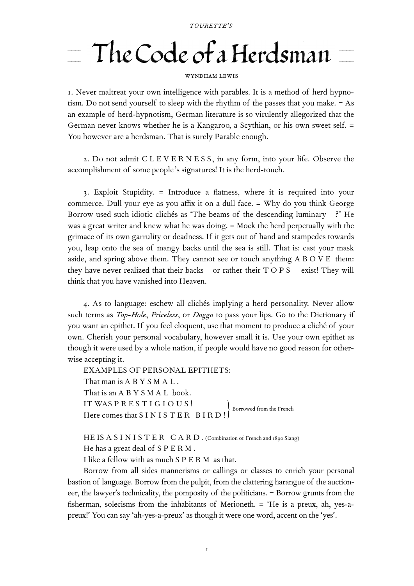## $T_{\text{loc}}$   $\int_{\Omega} d\mu$  and  $\int_{\Omega} d\mu$  $\perp$  THE COUL OF A HEIGNMAN  $\perp$

## WYNDHAM LEWIS

. Never maltreat your own intelligence with parables. It is a method of herd hypnotism. Do not send yourself to sleep with the rhythm of the passes that you make. = As an example of herd-hypnotism, German literature is so virulently allegorized that the German never knows whether he is a Kangaroo, a Scythian, or his own sweet self. = You however are a herdsman. That is surely Parable enough.

. Do not admit C L E V E R N E S S, in any form, into your life. Observe the accomplishment of some people's signatures! It is the herd-touch.

. Exploit Stupidity. = Introduce a flatness, where it is required into your commerce. Dull your eye as you affix it on a dull face. = Why do you think George Borrow used such idiotic clichés as 'The beams of the descending luminary—?' He was a great writer and knew what he was doing. = Mock the herd perpetually with the grimace of its own garrulity or deadness. If it gets out of hand and stampedes towards you, leap onto the sea of mangy backs until the sea is still. That is: cast your mask aside, and spring above them. They cannot see or touch anything A B O V E them: they have never realized that their backs—or rather their T O P S —exist! They will think that you have vanished into Heaven.

. As to language: eschew all clichés implying a herd personality. Never allow such terms as *Top-Hole*, *Priceless*, or *Doggo* to pass your lips. Go to the Dictionary if you want an epithet. If you feel eloquent, use that moment to produce a cliché of your own. Cherish your personal vocabulary, however small it is. Use your own epithet as though it were used by a whole nation, if people would have no good reason for otherwise accepting it.

EXAMPLES OF PERSONAL EPITHETS: That man is A B Y S M A L . That is an A B Y S M A L book. IT WAS PRESTIGIOUS ! Here comes that S I N I S T E R B I R D !

HE IS A S I N I S T E R  $C$  A R D . (Combination of French and 1890 Slang) He has a great deal of SPERM.

I like a fellow with as much SPERM as that.

Borrow from all sides mannerisms or callings or classes to enrich your personal bastion of language. Borrow from the pulpit, from the clattering harangue of the auctioneer, the lawyer's technicality, the pomposity of the politicians. = Borrow grunts from the fisherman, solecisms from the inhabitants of Merioneth. = 'He is a preux, ah, yes-apreux!' You can say 'ah-yes-a-preux' as though it were one word, accent on the 'yes'.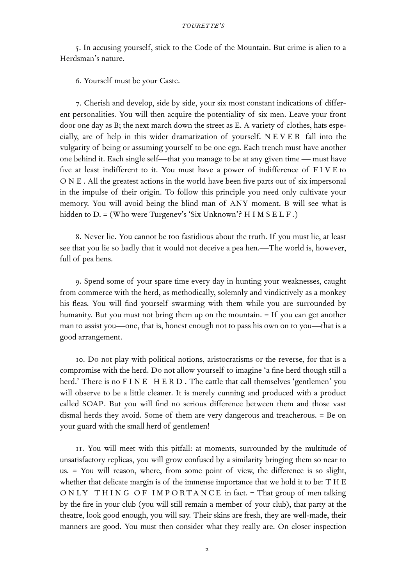. In accusing yourself, stick to the Code of the Mountain. But crime is alien to a Herdsman's nature.

. Yourself must be your Caste.

. Cherish and develop, side by side, your six most constant indications of different personalities. You will then acquire the potentiality of six men. Leave your front door one day as B; the next march down the street as E. A variety of clothes, hats especially, are of help in this wider dramatization of yourself. N E V E R fall into the vulgarity of being or assuming yourself to be one ego. Each trench must have another one behind it. Each single self—that you manage to be at any given time — must have five at least indifferent to it. You must have a power of indifference of F I V E to O N E . All the greatest actions in the world have been five parts out of six impersonal in the impulse of their origin. To follow this principle you need only cultivate your memory. You will avoid being the blind man of ANY moment. B will see what is hidden to D. = (Who were Turgenev's 'Six Unknown'? H I M S E L F.)

. Never lie. You cannot be too fastidious about the truth. If you must lie, at least see that you lie so badly that it would not deceive a pea hen.—The world is, however, full of pea hens.

. Spend some of your spare time every day in hunting your weaknesses, caught from commerce with the herd, as methodically, solemnly and vindictively as a monkey his fleas. You will find yourself swarming with them while you are surrounded by humanity. But you must not bring them up on the mountain. = If you can get another man to assist you—one, that is, honest enough not to pass his own on to you—that is a good arrangement.

. Do not play with political notions, aristocratisms or the reverse, for that is a compromise with the herd. Do not allow yourself to imagine 'a fine herd though still a herd.' There is no F I N E H E R D . The cattle that call themselves 'gentlemen' you will observe to be a little cleaner. It is merely cunning and produced with a product called SOAP. But you will find no serious difference between them and those vast dismal herds they avoid. Some of them are very dangerous and treacherous. = Be on your guard with the small herd of gentlemen!

. You will meet with this pitfall: at moments, surrounded by the multitude of unsatisfactory replicas, you will grow confused by a similarity bringing them so near to us. = You will reason, where, from some point of view, the difference is so slight, whether that delicate margin is of the immense importance that we hold it to be: T H E O N LY THING OF IMPORTANCE in fact. = That group of men talking by the fire in your club (you will still remain a member of your club), that party at the theatre, look good enough, you will say. Their skins are fresh, they are well-made, their manners are good. You must then consider what they really are. On closer inspection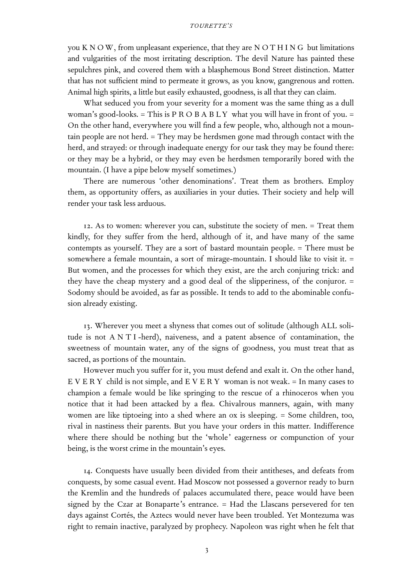## *TOURETTE'S*

you K N O W, from unpleasant experience, that they are N O T H I N G but limitations and vulgarities of the most irritating description. The devil Nature has painted these sepulchres pink, and covered them with a blasphemous Bond Street distinction. Matter that has not sufficient mind to permeate it grows, as you know, gangrenous and rotten. Animal high spirits, a little but easily exhausted, goodness, is all that they can claim.

What seduced you from your severity for a moment was the same thing as a dull woman's good-looks.  $=$  This is P R O B A B L Y what you will have in front of you.  $=$ On the other hand, everywhere you will find a few people, who, although not a mountain people are not herd. = They may be herdsmen gone mad through contact with the herd, and strayed: or through inadequate energy for our task they may be found there: or they may be a hybrid, or they may even be herdsmen temporarily bored with the mountain. (I have a pipe below myself sometimes.)

There are numerous 'other denominations'. Treat them as brothers. Employ them, as opportunity offers, as auxiliaries in your duties. Their society and help will render your task less arduous.

. As to women: wherever you can, substitute the society of men. = Treat them kindly, for they suffer from the herd, although of it, and have many of the same contempts as yourself. They are a sort of bastard mountain people. = There must be somewhere a female mountain, a sort of mirage-mountain. I should like to visit it. = But women, and the processes for which they exist, are the arch conjuring trick: and they have the cheap mystery and a good deal of the slipperiness, of the conjuror. = Sodomy should be avoided, as far as possible. It tends to add to the abominable confusion already existing.

. Wherever you meet a shyness that comes out of solitude (although ALL solitude is not A N T I -herd), naiveness, and a patent absence of contamination, the sweetness of mountain water, any of the signs of goodness, you must treat that as sacred, as portions of the mountain.

However much you suffer for it, you must defend and exalt it. On the other hand, E V E R Y child is not simple, and E V E R Y woman is not weak.  $=$  In many cases to champion a female would be like springing to the rescue of a rhinoceros when you notice that it had been attacked by a flea. Chivalrous manners, again, with many women are like tiptoeing into a shed where an ox is sleeping. = Some children, too, rival in nastiness their parents. But you have your orders in this matter. Indifference where there should be nothing but the 'whole' eagerness or compunction of your being, is the worst crime in the mountain's eyes.

. Conquests have usually been divided from their antitheses, and defeats from conquests, by some casual event. Had Moscow not possessed a governor ready to burn the Kremlin and the hundreds of palaces accumulated there, peace would have been signed by the Czar at Bonaparte's entrance. = Had the Llascans persevered for ten days against Cortés, the Aztecs would never have been troubled. Yet Montezuma was right to remain inactive, paralyzed by prophecy. Napoleon was right when he felt that